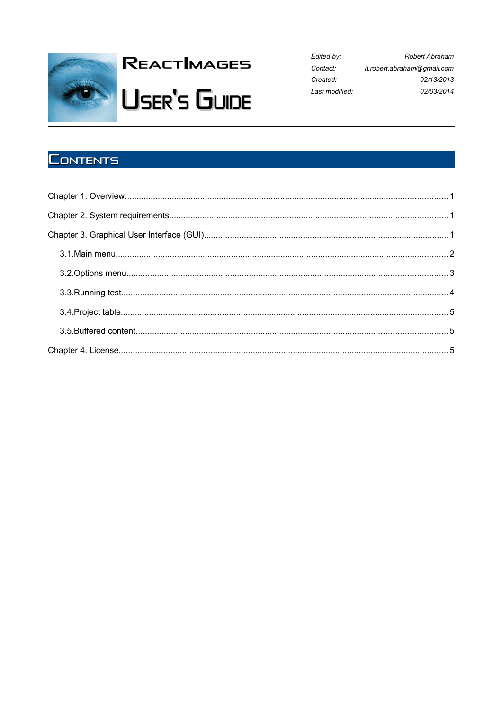

# **REACTIMAGES USER'S GUIDE**

Edited by: Robert Abraham Contact: it.robert.abraham@gmail.com Created: 02/13/2013 Last modified: 02/03/2014

# **CONTENTS**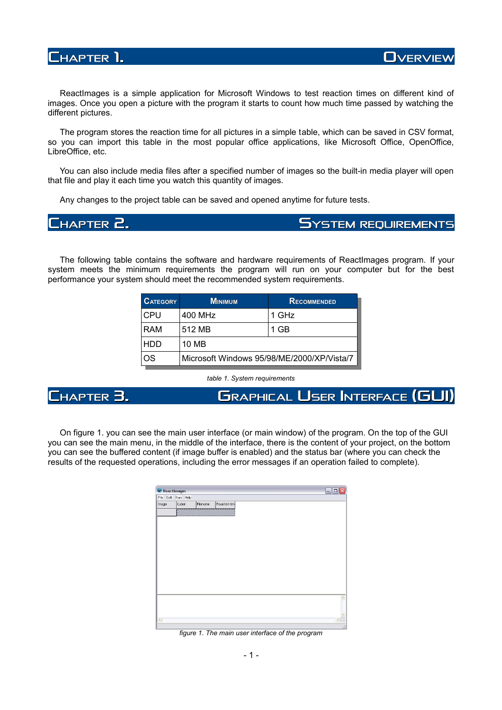

ReactImages is a simple application for Microsoft Windows to test reaction times on different kind of images. Once you open a picture with the program it starts to count how much time passed by watching the different pictures.

The program stores the reaction time for all pictures in a simple table, which can be saved in CSV format, so you can import this table in the most popular office applications, like Microsoft Office, OpenOffice, LibreOffice, etc.

You can also include media files after a specified number of images so the built-in media player will open that file and play it each time you watch this quantity of images.

Any changes to the project table can be saved and opened anytime for future tests.

**CHAPTER 2. SYSTEM REQUIREMENTS REQUIREMENTS**

The following table contains the software and hardware requirements of ReactImages program. If your system meets the minimum requirements the program will run on your computer but for the best performance your system should meet the recommended system requirements.

| <b>CATEGORY</b> | <b>MINIMUM</b>                             | RECOMMENDED |
|-----------------|--------------------------------------------|-------------|
| CPU             | 400 MHz                                    | 1 GHz       |
| RAM             | 512 MB                                     | 1 GB        |
| HDD             | 10 MB                                      |             |
| ገS              | Microsoft Windows 95/98/ME/2000/XP/Vista/7 |             |

*table 1. System requirements*

**CHAPTER 3. GRAPHICAL USER INTERFACE NTERFACE (GUI)**

On figure 1. you can see the main user interface (or main window) of the program. On the top of the GUI you can see the main menu, in the middle of the interface, there is the content of your project, on the bottom you can see the buffered content (if image buffer is enabled) and the status bar (where you can check the results of the requested operations, including the error messages if an operation failed to complete).

| ReactImages |                    |          |               |
|-------------|--------------------|----------|---------------|
|             | File Edit Run Help |          |               |
| Image       | Label              | Filename | Reaction time |
|             |                    |          |               |
|             |                    |          |               |
|             |                    |          |               |
|             |                    |          |               |
|             |                    |          |               |
|             |                    |          |               |
|             |                    |          |               |
|             |                    |          |               |
|             |                    |          |               |
|             |                    |          |               |
|             |                    |          |               |
|             |                    |          |               |
|             |                    |          |               |
|             |                    |          |               |
| $\langle$   |                    |          |               |

*figure 1. The main user interface of the program*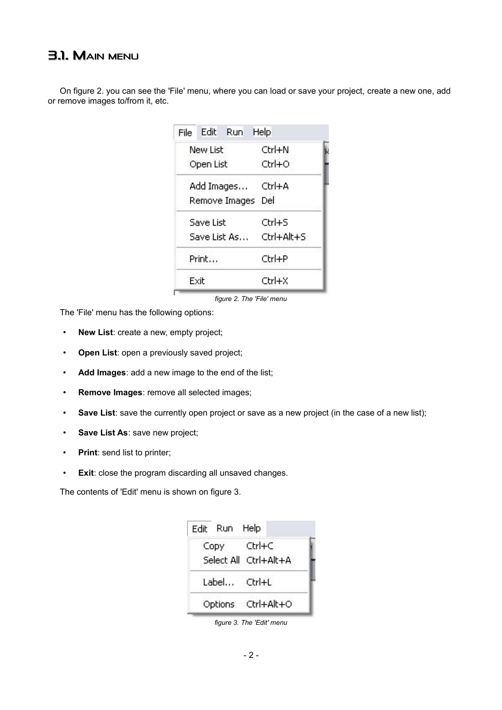## **3.1. MAIN MENU**

On figure 2. you can see the 'File' menu, where you can load or save your project, create a new one, add or remove images to/from it, etc.

| File | Edit      | Run.          | Help       |  |
|------|-----------|---------------|------------|--|
|      | New List  |               | Ctrl+N     |  |
|      | Open List |               | Ctrl+O     |  |
|      |           | Add Images    | Ctrl+A     |  |
|      |           | Remove Images | Del        |  |
|      | Save List |               | Ctrl+S     |  |
|      |           | Save List As  | Ctrl+Alt+S |  |
|      | Print     |               | Ctrl+P     |  |
|      | Exit      |               | Ctrl+X     |  |

*figure 2. The 'File' menu*

The 'File' menu has the following options:

- **New List**: create a new, empty project;
- **Open List**: open a previously saved project;
- **Add Images**: add a new image to the end of the list;
- **Remove Images**: remove all selected images;
- **Save List**: save the currently open project or save as a new project (in the case of a new list);
- **Save List As**: save new project;
- **Print**: send list to printer;
- **Exit**: close the program discarding all unsaved changes.

The contents of 'Edit' menu is shown on figure 3.

| Edit Run Help |                       |
|---------------|-----------------------|
| Copy Ctrl+C   |                       |
|               | Select All Ctrl+Alt+A |
| Label Ctrl+L  |                       |
|               | Options Ctrl+Alt+O    |

*figure 3. The 'Edit' menu*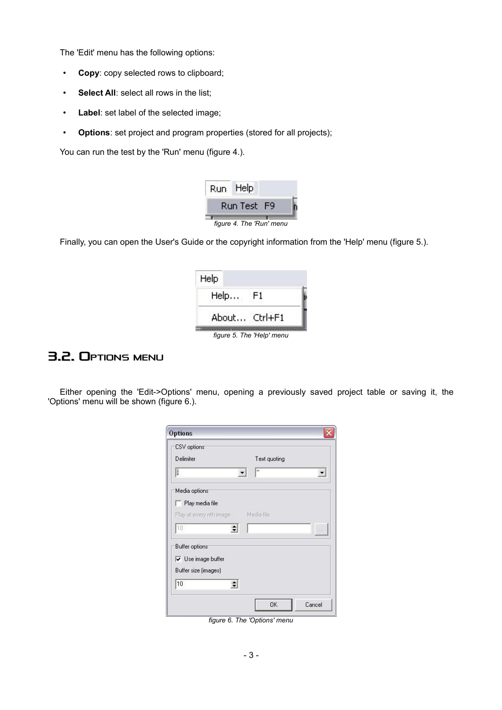The 'Edit' menu has the following options:

- **Copy**: copy selected rows to clipboard;
- **Select All**: select all rows in the list;
- **Label**: set label of the selected image;
- **Options**: set project and program properties (stored for all projects);

You can run the test by the 'Run' menu (figure 4.).



Finally, you can open the User's Guide or the copyright information from the 'Help' menu (figure 5.).

| Help          |    |  |
|---------------|----|--|
| Help          | F1 |  |
| About Ctrl+F1 |    |  |

*figure 5. The 'Help' menu*

### **3.2. OPTIONS MENU**

Either opening the 'Edit->Options' menu, opening a previously saved project table or saving it, the 'Options' menu will be shown (figure 6.).

| CSV options                              |                |
|------------------------------------------|----------------|
| Delimiter                                | Text quoting   |
| IJ                                       | $\blacksquare$ |
| Media options                            |                |
| $\Box$ Play media file                   |                |
| Play at every nth image Media file       |                |
| 10<br>$\div$                             |                |
| Buffer options:                          |                |
|                                          |                |
| $\overline{\mathbf{v}}$ Use image buffer |                |
| Buffer size (images)                     |                |
| 10<br>$\div$                             |                |

*figure 6. The 'Options' menu*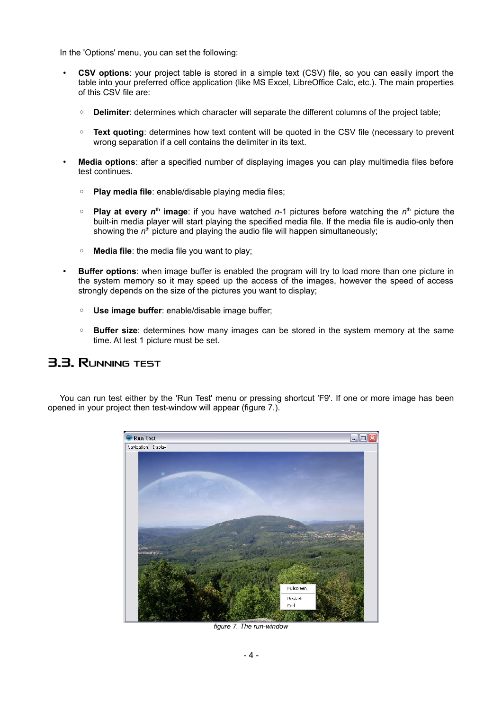In the 'Options' menu, you can set the following:

- **CSV options**: your project table is stored in a simple text (CSV) file, so you can easily import the table into your preferred office application (like MS Excel, LibreOffice Calc, etc.). The main properties of this CSV file are:
	- **Delimiter:** determines which character will separate the different columns of the project table;
	- **Text quoting**: determines how text content will be quoted in the CSV file (necessary to prevent wrong separation if a cell contains the delimiter in its text.
- **Media options**: after a specified number of displaying images you can play multimedia files before test continues.
	- **Play media file**: enable/disable playing media files;
	- **Play at every n<sup>th</sup> image**: if you have watched n-1 pictures before watching the n<sup>th</sup> picture the built-in media player will start playing the specified media file. If the media file is audio-only then showing the n<sup>th</sup> picture and playing the audio file will happen simultaneously;
	- **Media file**: the media file you want to play;
- **Buffer options**: when image buffer is enabled the program will try to load more than one picture in the system memory so it may speed up the access of the images, however the speed of access strongly depends on the size of the pictures you want to display;
	- **Use image buffer**: enable/disable image buffer;
	- **Buffer size**: determines how many images can be stored in the system memory at the same time. At lest 1 picture must be set.

#### **3.3. RUNNING TEST**

You can run test either by the 'Run Test' menu or pressing shortcut 'F9'. If one or more image has been opened in your project then test-window will appear (figure 7.).



*figure 7. The run-window*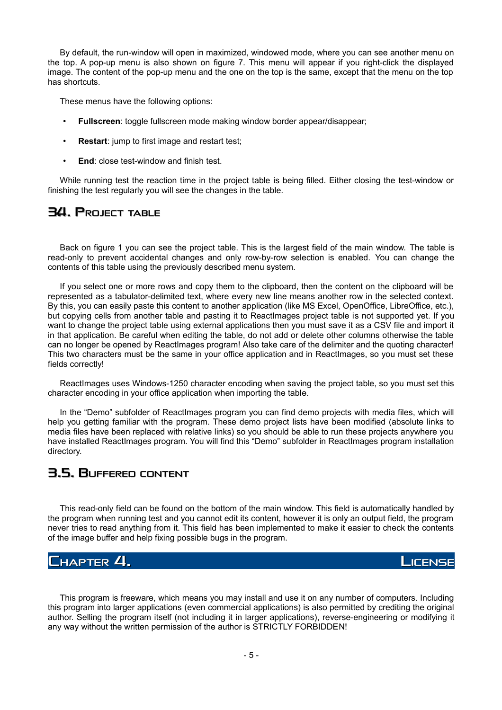By default, the run-window will open in maximized, windowed mode, where you can see another menu on the top. A pop-up menu is also shown on figure 7. This menu will appear if you right-click the displayed image. The content of the pop-up menu and the one on the top is the same, except that the menu on the top has shortcuts.

These menus have the following options:

- **Fullscreen**: toggle fullscreen mode making window border appear/disappear;
- **Restart:** jump to first image and restart test;
- **End**: close test-window and finish test.

While running test the reaction time in the project table is being filled. Either closing the test-window or finishing the test regularly you will see the changes in the table.

#### **3.4. PROJECT TABLE**

Back on figure 1 you can see the project table. This is the largest field of the main window. The table is read-only to prevent accidental changes and only row-by-row selection is enabled. You can change the contents of this table using the previously described menu system.

If you select one or more rows and copy them to the clipboard, then the content on the clipboard will be represented as a tabulator-delimited text, where every new line means another row in the selected context. By this, you can easily paste this content to another application (like MS Excel, OpenOffice, LibreOffice, etc.), but copying cells from another table and pasting it to ReactImages project table is not supported yet. If you want to change the project table using external applications then you must save it as a CSV file and import it in that application. Be careful when editing the table, do not add or delete other columns otherwise the table can no longer be opened by ReactImages program! Also take care of the delimiter and the quoting character! This two characters must be the same in your office application and in ReactImages, so you must set these fields correctly!

ReactImages uses Windows-1250 character encoding when saving the project table, so you must set this character encoding in your office application when importing the table.

In the "Demo" subfolder of ReactImages program you can find demo projects with media files, which will help you getting familiar with the program. These demo project lists have been modified (absolute links to media files have been replaced with relative links) so you should be able to run these projects anywhere you have installed ReactImages program. You will find this "Demo" subfolder in ReactImages program installation directory.

#### **3.5. BUFFERED CONTENT**

This read-only field can be found on the bottom of the main window. This field is automatically handled by the program when running test and you cannot edit its content, however it is only an output field, the program never tries to read anything from it. This field has been implemented to make it easier to check the contents of the image buffer and help fixing possible bugs in the program.

#### **CHAPTER 4. LICENSE**

This program is freeware, which means you may install and use it on any number of computers. Including this program into larger applications (even commercial applications) is also permitted by crediting the original author. Selling the program itself (not including it in larger applications), reverse-engineering or modifying it any way without the written permission of the author is STRICTLY FORBIDDEN!